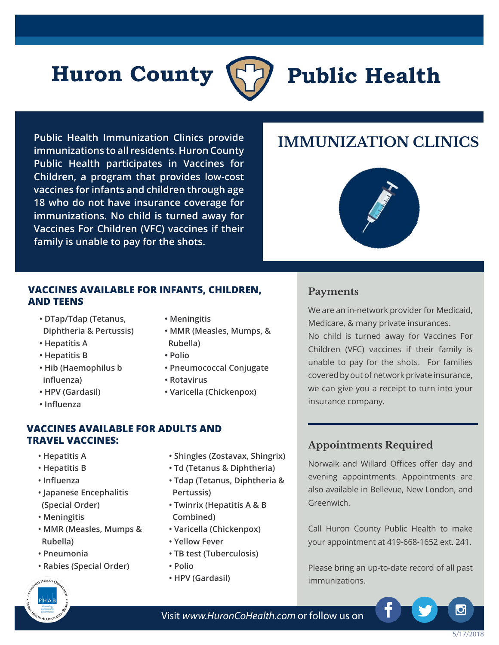# **Huron County (7) Public Health**



**Public Health Immunization Clinics provide immunizations to all residents. Huron County Public Health participates in Vaccines for Children, a program that provides low-cost vaccines for infants and children through age 18 who do not have insurance coverage for immunizations. No child is turned away for Vaccines For Children (VFC) vaccines if their family is unable to pay for the shots.**

## **IMMUNIZATION CLINICS**



#### **VACCINES AVAILABLE FOR INFANTS, CHILDREN, AND TEENS**

- **DTap/Tdap (Tetanus, Diphtheria & Pertussis)**
- **Hepatitis A**
- **Hepatitis B**
- **Hib (Haemophilus b influenza)**
- **HPV (Gardasil)**
- **Influenza**
- **Meningitis**
- **MMR (Measles, Mumps, & Rubella)**
- **Polio**
- **Pneumococcal Conjugate**
- **Rotavirus**
- **Varicella (Chickenpox)**

#### **Payments**

We are an in-network provider for Medicaid, Medicare, & many private insurances.

No child is turned away for Vaccines For Children (VFC) vaccines if their family is unable to pay for the shots. For families covered by out of network private insurance, we can give you a receipt to turn into your insurance company.

#### **VACCINES AVAILABLE FOR ADULTS AND TRAVEL VACCINES:**

- **Hepatitis A**
- **Hepatitis B**
- **Influenza**
- **Japanese Encephalitis (Special Order)**
- **Meningitis**
- **MMR (Measles, Mumps & Rubella)**
- **Pneumonia**
- **Rabies (Special Order)**



- **Td (Tetanus & Diphtheria)**
- **Tdap (Tetanus, Diphtheria & Pertussis)**
- **Twinrix (Hepatitis A & B Combined)**
- **Varicella (Chickenpox)**
- **Yellow Fever**
- **TB test (Tuberculosis)**
- **Polio**
- **HPV (Gardasil)**

### **Appointments Required**

Norwalk and Willard Offices offer day and evening appointments. Appointments are also available in Bellevue, New London, and Greenwich.

Call Huron County Public Health to make your appointment at 419-668-1652 ext. 241.

Please bring an up-to-date record of all past immunizations.



Visit *www.HuronCoHealth.com* or follow us on

۱Ö